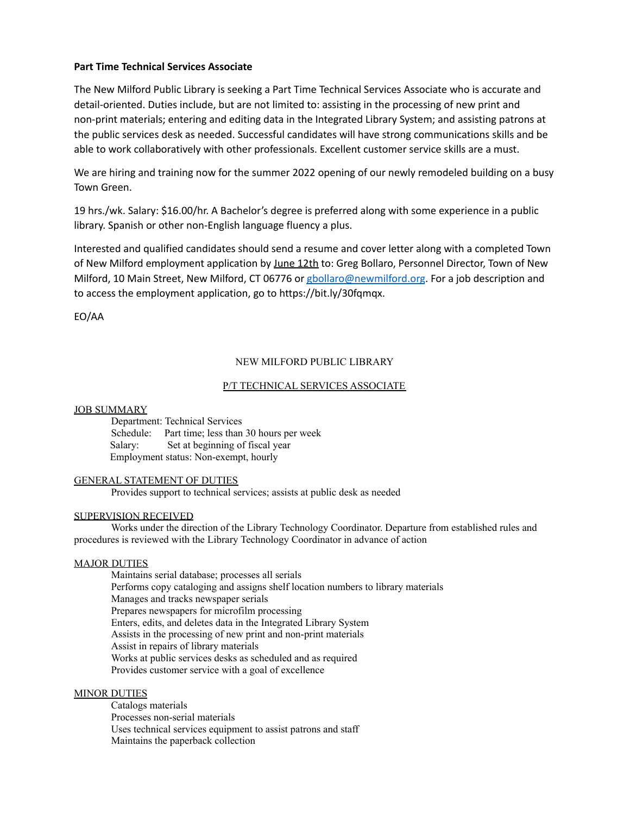# **Part Time Technical Services Associate**

The New Milford Public Library is seeking a Part Time Technical Services Associate who is accurate and detail-oriented. Duties include, but are not limited to: assisting in the processing of new print and non-print materials; entering and editing data in the Integrated Library System; and assisting patrons at the public services desk as needed. Successful candidates will have strong communications skills and be able to work collaboratively with other professionals. Excellent customer service skills are a must.

We are hiring and training now for the summer 2022 opening of our newly remodeled building on a busy Town Green.

19 hrs./wk. Salary: \$16.00/hr. A Bachelor's degree is preferred along with some experience in a public library. Spanish or other non-English language fluency a plus.

Interested and qualified candidates should send a resume and cover letter along with a completed Town of New Milford employment application by June 12th to: Greg Bollaro, Personnel Director, Town of New Milford, 10 Main Street, New Milford, CT 06776 or [gbollaro@newmilford.org](mailto:gbollaro@newmilford.org). For a job description and to access the employment application, go to https://bit.ly/30fqmqx.

EO/AA

# NEW MILFORD PUBLIC LIBRARY

# P/T TECHNICAL SERVICES ASSOCIATE

### JOB SUMMARY

Department: Technical Services Schedule: Part time; less than 30 hours per week Salary: Set at beginning of fiscal year Employment status: Non-exempt, hourly

# GENERAL STATEMENT OF DUTIES

Provides support to technical services; assists at public desk as needed

# SUPERVISION RECEIVED

Works under the direction of the Library Technology Coordinator. Departure from established rules and procedures is reviewed with the Library Technology Coordinator in advance of action

# MAJOR DUTIES

Maintains serial database; processes all serials Performs copy cataloging and assigns shelf location numbers to library materials Manages and tracks newspaper serials Prepares newspapers for microfilm processing Enters, edits, and deletes data in the Integrated Library System Assists in the processing of new print and non-print materials Assist in repairs of library materials Works at public services desks as scheduled and as required Provides customer service with a goal of excellence

#### MINOR DUTIES

Catalogs materials Processes non-serial materials Uses technical services equipment to assist patrons and staff Maintains the paperback collection